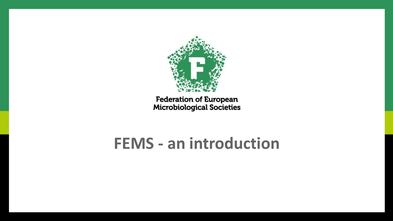

**Federation of European**<br>Microbiological Societies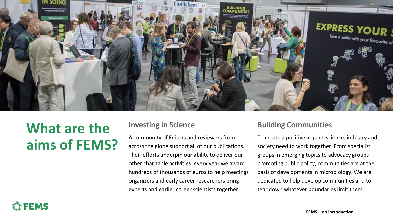

# **What are the aims of FEMS?**

#### **Investing in Science**

A community of Editors and reviewers from across the globe support all of our publications. Their efforts underpin our ability to deliver our other charitable activities: every year we award hundreds of thousands of euros to help meetings organizers and early career researchers bring experts and earlier career scientists together.

#### **Building Communities**

To create a positive impact, science, industry and society need to work together. From specialist groups in emerging topics to advocacy groups promoting public policy, communities are at the basis of developments in microbiology. We are dedicated to help develop communities and to tear down whatever boundaries limit them.

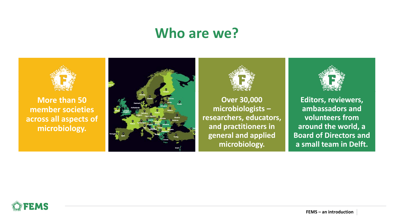**Editors, reviewers, ambassadors and volunteers from around the world, a Board of Directors and a small team in Delft.**

**Over 30,000 microbiologists – researchers, educators, and practitioners in general and applied microbiology.**





**More than 50 member societies [across all aspects of](https://fems-microbiology.org/member-societies/)  microbiology.**





## **Who are we?**

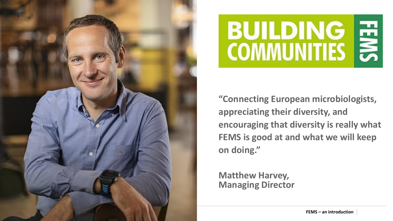### **"Connecting European microbiologists, appreciating their diversity, and encouraging that diversity is really what FEMS is good at and what we will keep**





**on doing."**

**Matthew Harvey, Managing Director**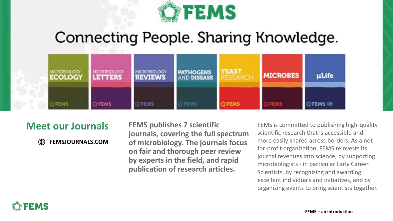

# Connecting People. Sharing Knowledge.



**Meet our Journals FEMS publishes 7 scientific journals, covering the full spectrum of microbiology. The journals focus on fair and thorough peer review by experts in the field, and rapid publication of research articles.** 

FEMS is committed to publishing high-quality scientific research that is accessible and more easily shared across borders. As a notfor-profit organization, FEMS reinvests its journal revenues into science, by supporting microbiologists - in particular Early Career Scientists, by recognizing and awarding excellent individuals and initiatives, and by organizing events to bring scientists together.



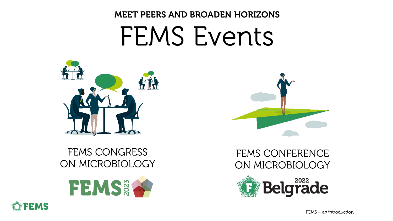# FEMS Events MEET PEERS AND BROADEN HORIZONS



### FEMS CONGRESS ON MICROBIOLOGY

FEMS&







### FEMS CONFERENCE ON MICROBIOLOGY

# **Belgrade**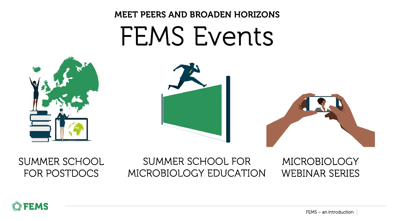# FEMS Events MEET PEERS AND BROADEN HORIZONS





### SUMMER SCHOOL FOR POSTDOCS

### SUMMER SCHOOL FOR MICROBIOLOGY EDUCATION







#### MICROBIOLOGY WEBINAR SERIES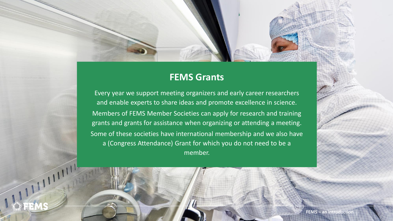

Every year we support meeting organizers and early career researchers and enable experts to share ideas and promote excellence in science. Members of [FEMS Member Societies](https://fems-microbiology.org/member-societies/) can apply for research and training grants and grants for assistance when organizing or attending a meeting. Some of these societies have international membership and we also have a (Congress Attendance) Grant for which you do not need to be a member.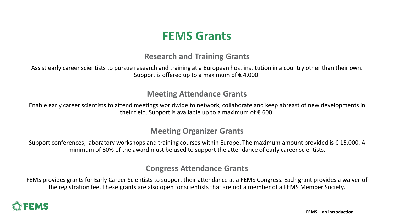Assist early career scientists to pursue research and training at a European host institution in a country other than their own. Support is offered up to a maximum of  $\epsilon$  4,000.

Enable early career scientists to attend meetings worldwide to network, collaborate and keep abreast of new developments in their field. Support is available up to a maximum of  $\epsilon$  600.

### **FEMS Grants**

#### **Research and Training Grants**

Support conferences, laboratory workshops and training courses within Europe. The maximum amount provided is  $\epsilon$  15,000. A minimum of 60% of the award must be used to support the attendance of early career scientists.

#### **Meeting Attendance Grants**

#### **Meeting Organizer Grants**

#### **Congress Attendance Grants**

FEMS provides grants for Early Career Scientists to support their attendance at a FEMS Congress. Each grant provides a waiver of the registration fee. These grants are also open for scientists that are not a member of a FEMS Member Society.

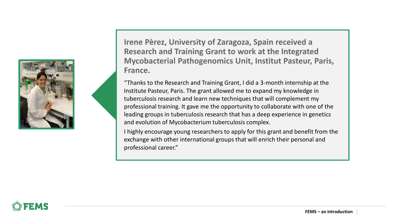

**Irene Pèrez, University of Zaragoza, Spain received a Research and Training Grant to work at the Integrated Mycobacterial Pathogenomics Unit, Institut Pasteur, Paris, France.**

"Thanks to the Research and Training Grant, I did a 3-month internship at the Institute Pasteur, Paris. The grant allowed me to expand my knowledge in tuberculosis research and learn new techniques that will complement my professional training. It gave me the opportunity to collaborate with one of the leading groups in tuberculosis research that has a deep experience in genetics and evolution of Mycobacterium tuberculosis complex.

I highly encourage young researchers to apply for this grant and benefit from the exchange with other international groups that will enrich their personal and professional career."

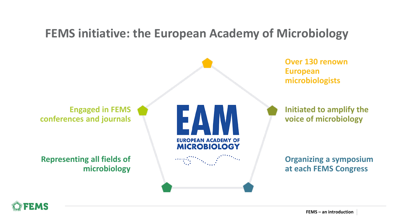

**Initiated to amplify the voice of microbiology**



**Over 130 renown European microbiologists**

## **FEMS initiative: the European Academy of Microbiology**

**Organizing a symposium at each FEMS Congress**